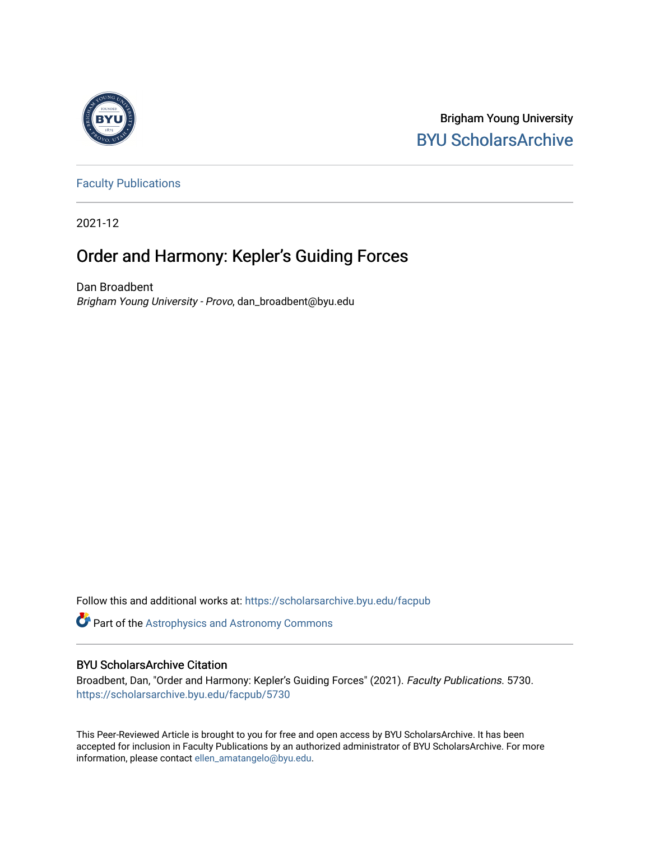

Brigham Young University [BYU ScholarsArchive](https://scholarsarchive.byu.edu/) 

[Faculty Publications](https://scholarsarchive.byu.edu/facpub)

2021-12

## Order and Harmony: Kepler's Guiding Forces

Dan Broadbent Brigham Young University - Provo, dan\_broadbent@byu.edu

Follow this and additional works at: [https://scholarsarchive.byu.edu/facpub](https://scholarsarchive.byu.edu/facpub?utm_source=scholarsarchive.byu.edu%2Ffacpub%2F5730&utm_medium=PDF&utm_campaign=PDFCoverPages) 

Part of the [Astrophysics and Astronomy Commons](http://network.bepress.com/hgg/discipline/123?utm_source=scholarsarchive.byu.edu%2Ffacpub%2F5730&utm_medium=PDF&utm_campaign=PDFCoverPages) 

## BYU ScholarsArchive Citation

Broadbent, Dan, "Order and Harmony: Kepler's Guiding Forces" (2021). Faculty Publications. 5730. [https://scholarsarchive.byu.edu/facpub/5730](https://scholarsarchive.byu.edu/facpub/5730?utm_source=scholarsarchive.byu.edu%2Ffacpub%2F5730&utm_medium=PDF&utm_campaign=PDFCoverPages)

This Peer-Reviewed Article is brought to you for free and open access by BYU ScholarsArchive. It has been accepted for inclusion in Faculty Publications by an authorized administrator of BYU ScholarsArchive. For more information, please contact [ellen\\_amatangelo@byu.edu.](mailto:ellen_amatangelo@byu.edu)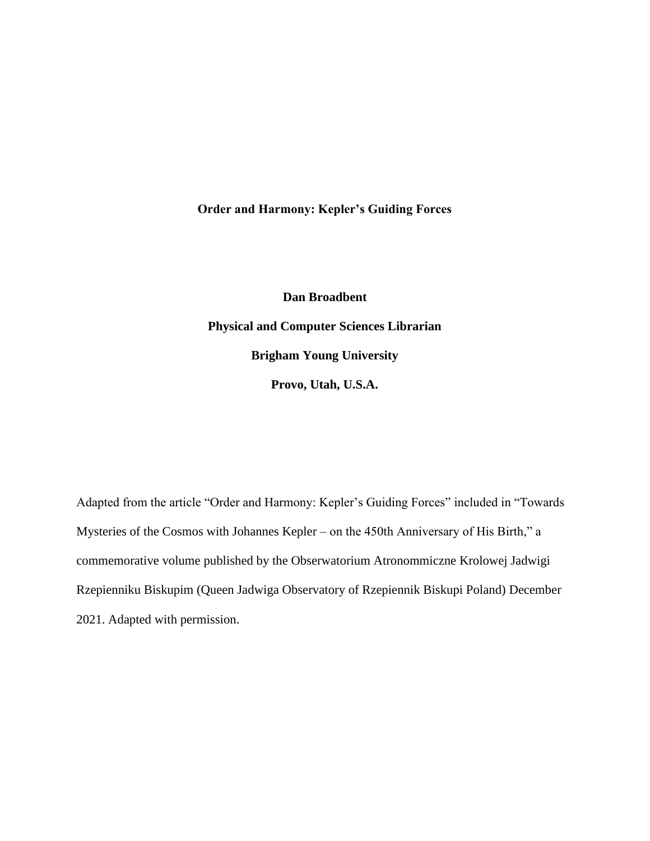**Order and Harmony: Kepler's Guiding Forces**

**Dan Broadbent Physical and Computer Sciences Librarian Brigham Young University Provo, Utah, U.S.A.**

Adapted from the article "Order and Harmony: Kepler's Guiding Forces" included in "Towards Mysteries of the Cosmos with Johannes Kepler – on the 450th Anniversary of His Birth," a commemorative volume published by the Obserwatorium Atronommiczne Krolowej Jadwigi Rzepienniku Biskupim (Queen Jadwiga Observatory of Rzepiennik Biskupi Poland) December 2021. Adapted with permission.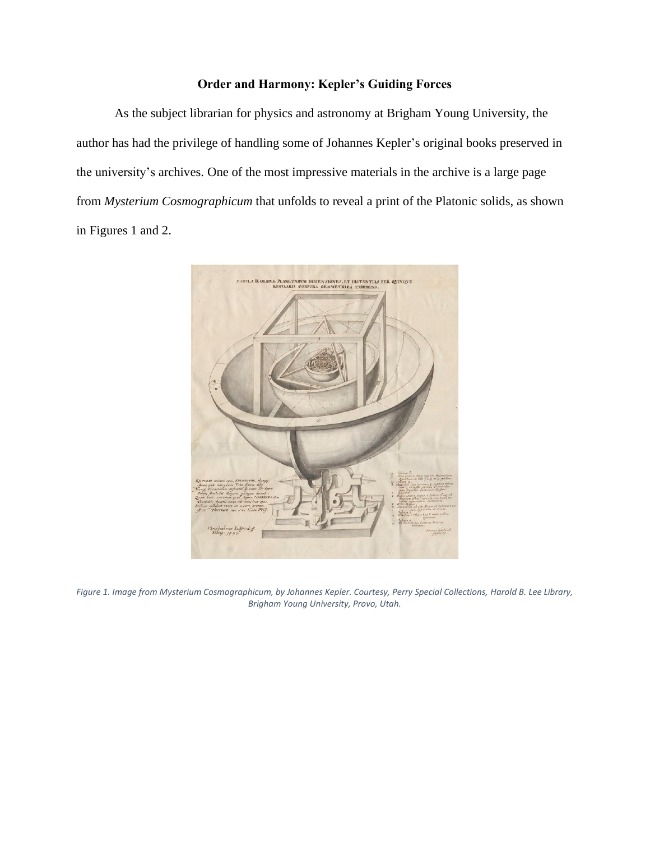## **Order and Harmony: Kepler's Guiding Forces**

As the subject librarian for physics and astronomy at Brigham Young University, the author has had the privilege of handling some of Johannes Kepler's original books preserved in the university's archives. One of the most impressive materials in the archive is a large page from *Mysterium Cosmographicum* that unfolds to reveal a print of the Platonic solids, as shown in Figures 1 and 2.



*Figure 1. Image from Mysterium Cosmographicum, by Johannes Kepler. Courtesy, Perry Special Collections, Harold B. Lee Library, Brigham Young University, Provo, Utah.*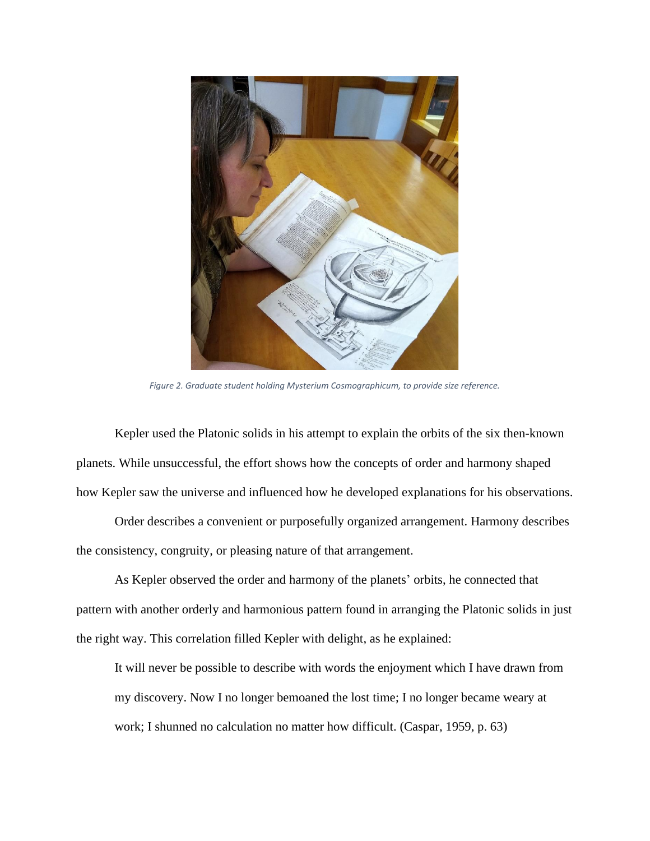

*Figure 2. Graduate student holding Mysterium Cosmographicum, to provide size reference.*

Kepler used the Platonic solids in his attempt to explain the orbits of the six then-known planets. While unsuccessful, the effort shows how the concepts of order and harmony shaped how Kepler saw the universe and influenced how he developed explanations for his observations.

Order describes a convenient or purposefully organized arrangement. Harmony describes the consistency, congruity, or pleasing nature of that arrangement.

As Kepler observed the order and harmony of the planets' orbits, he connected that pattern with another orderly and harmonious pattern found in arranging the Platonic solids in just the right way. This correlation filled Kepler with delight, as he explained:

It will never be possible to describe with words the enjoyment which I have drawn from my discovery. Now I no longer bemoaned the lost time; I no longer became weary at work; I shunned no calculation no matter how difficult. (Caspar, 1959, p. 63)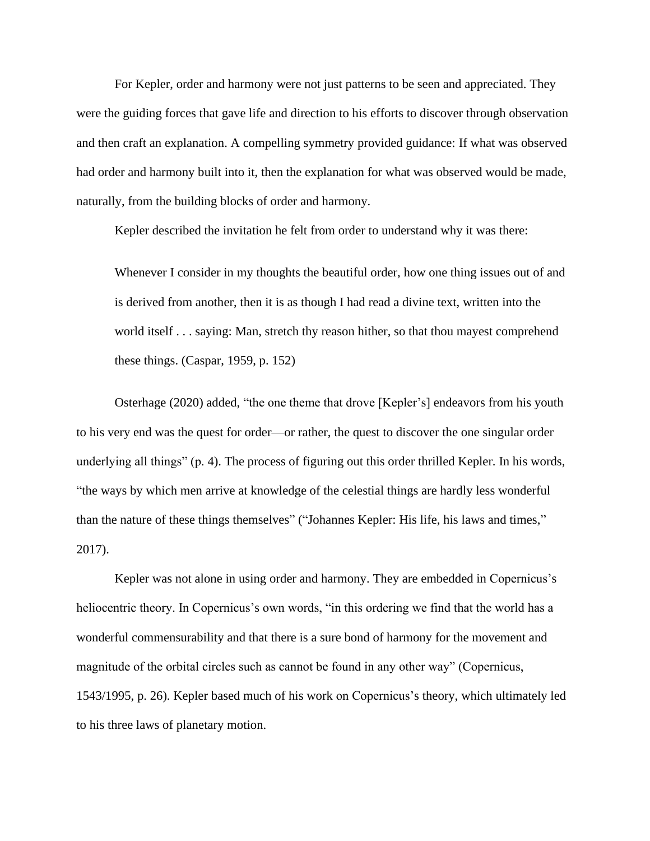For Kepler, order and harmony were not just patterns to be seen and appreciated. They were the guiding forces that gave life and direction to his efforts to discover through observation and then craft an explanation. A compelling symmetry provided guidance: If what was observed had order and harmony built into it, then the explanation for what was observed would be made, naturally, from the building blocks of order and harmony.

Kepler described the invitation he felt from order to understand why it was there:

Whenever I consider in my thoughts the beautiful order, how one thing issues out of and is derived from another, then it is as though I had read a divine text, written into the world itself . . . saying: Man, stretch thy reason hither, so that thou mayest comprehend these things. (Caspar, 1959, p. 152)

Osterhage (2020) added, "the one theme that drove [Kepler's] endeavors from his youth to his very end was the quest for order—or rather, the quest to discover the one singular order underlying all things" (p. 4). The process of figuring out this order thrilled Kepler. In his words, "the ways by which men arrive at knowledge of the celestial things are hardly less wonderful than the nature of these things themselves" ("Johannes Kepler: His life, his laws and times," 2017).

Kepler was not alone in using order and harmony. They are embedded in Copernicus's heliocentric theory. In Copernicus's own words, "in this ordering we find that the world has a wonderful commensurability and that there is a sure bond of harmony for the movement and magnitude of the orbital circles such as cannot be found in any other way" (Copernicus, 1543/1995, p. 26). Kepler based much of his work on Copernicus's theory, which ultimately led to his three laws of planetary motion.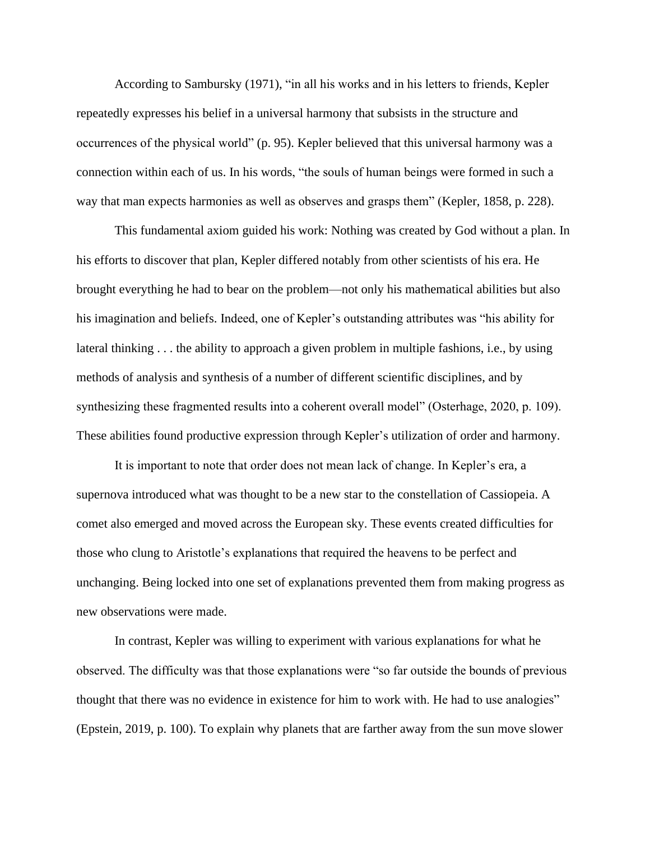According to Sambursky (1971), "in all his works and in his letters to friends, Kepler repeatedly expresses his belief in a universal harmony that subsists in the structure and occurrences of the physical world" (p. 95). Kepler believed that this universal harmony was a connection within each of us. In his words, "the souls of human beings were formed in such a way that man expects harmonies as well as observes and grasps them" (Kepler, 1858, p. 228).

This fundamental axiom guided his work: Nothing was created by God without a plan. In his efforts to discover that plan, Kepler differed notably from other scientists of his era. He brought everything he had to bear on the problem—not only his mathematical abilities but also his imagination and beliefs. Indeed, one of Kepler's outstanding attributes was "his ability for lateral thinking . . . the ability to approach a given problem in multiple fashions, i.e., by using methods of analysis and synthesis of a number of different scientific disciplines, and by synthesizing these fragmented results into a coherent overall model" (Osterhage, 2020, p. 109). These abilities found productive expression through Kepler's utilization of order and harmony.

It is important to note that order does not mean lack of change. In Kepler's era, a supernova introduced what was thought to be a new star to the constellation of Cassiopeia. A comet also emerged and moved across the European sky. These events created difficulties for those who clung to Aristotle's explanations that required the heavens to be perfect and unchanging. Being locked into one set of explanations prevented them from making progress as new observations were made.

In contrast, Kepler was willing to experiment with various explanations for what he observed. The difficulty was that those explanations were "so far outside the bounds of previous thought that there was no evidence in existence for him to work with. He had to use analogies" (Epstein, 2019, p. 100). To explain why planets that are farther away from the sun move slower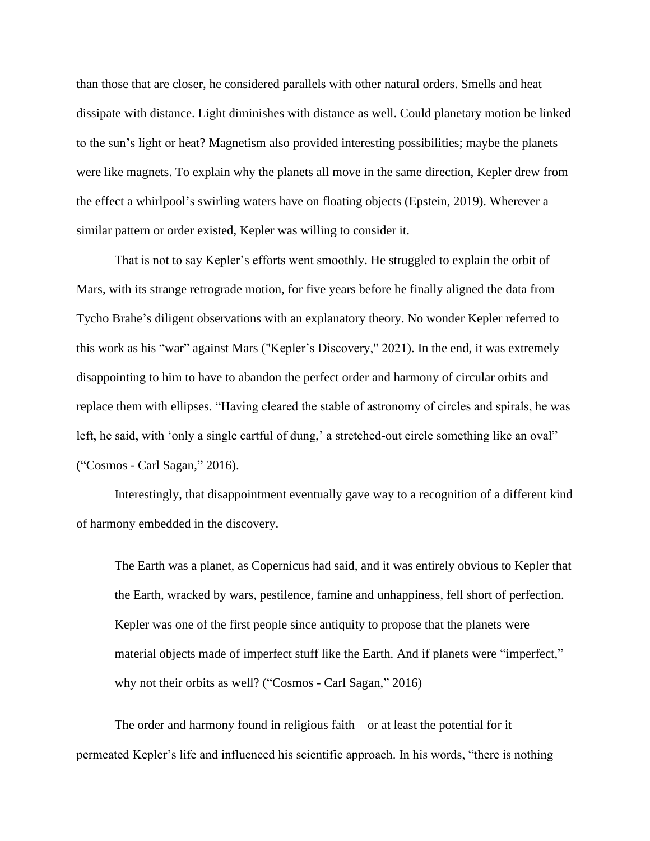than those that are closer, he considered parallels with other natural orders. Smells and heat dissipate with distance. Light diminishes with distance as well. Could planetary motion be linked to the sun's light or heat? Magnetism also provided interesting possibilities; maybe the planets were like magnets. To explain why the planets all move in the same direction, Kepler drew from the effect a whirlpool's swirling waters have on floating objects (Epstein, 2019). Wherever a similar pattern or order existed, Kepler was willing to consider it.

That is not to say Kepler's efforts went smoothly. He struggled to explain the orbit of Mars, with its strange retrograde motion, for five years before he finally aligned the data from Tycho Brahe's diligent observations with an explanatory theory. No wonder Kepler referred to this work as his "war" against Mars ("Kepler's Discovery," 2021). In the end, it was extremely disappointing to him to have to abandon the perfect order and harmony of circular orbits and replace them with ellipses. "Having cleared the stable of astronomy of circles and spirals, he was left, he said, with 'only a single cartful of dung,' a stretched-out circle something like an oval" ("Cosmos - Carl Sagan," 2016).

Interestingly, that disappointment eventually gave way to a recognition of a different kind of harmony embedded in the discovery.

The Earth was a planet, as Copernicus had said, and it was entirely obvious to Kepler that the Earth, wracked by wars, pestilence, famine and unhappiness, fell short of perfection. Kepler was one of the first people since antiquity to propose that the planets were material objects made of imperfect stuff like the Earth. And if planets were "imperfect," why not their orbits as well? ("Cosmos - Carl Sagan," 2016)

The order and harmony found in religious faith—or at least the potential for it permeated Kepler's life and influenced his scientific approach. In his words, "there is nothing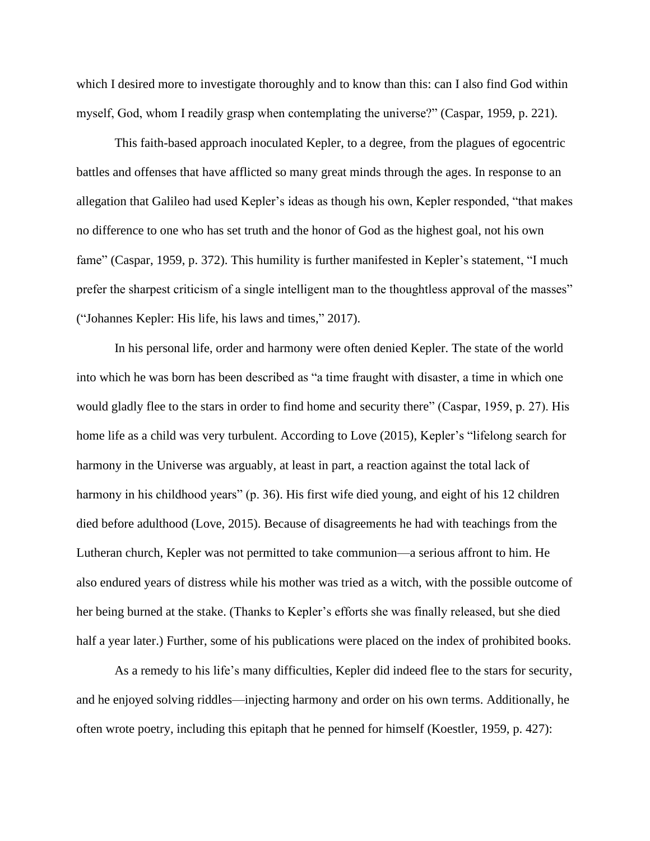which I desired more to investigate thoroughly and to know than this: can I also find God within myself, God, whom I readily grasp when contemplating the universe?" (Caspar, 1959, p. 221).

This faith-based approach inoculated Kepler, to a degree, from the plagues of egocentric battles and offenses that have afflicted so many great minds through the ages. In response to an allegation that Galileo had used Kepler's ideas as though his own, Kepler responded, "that makes no difference to one who has set truth and the honor of God as the highest goal, not his own fame" (Caspar, 1959, p. 372). This humility is further manifested in Kepler's statement, "I much prefer the sharpest criticism of a single intelligent man to the thoughtless approval of the masses" ("Johannes Kepler: His life, his laws and times," 2017).

In his personal life, order and harmony were often denied Kepler. The state of the world into which he was born has been described as "a time fraught with disaster, a time in which one would gladly flee to the stars in order to find home and security there" (Caspar, 1959, p. 27). His home life as a child was very turbulent. According to Love (2015), Kepler's "lifelong search for harmony in the Universe was arguably, at least in part, a reaction against the total lack of harmony in his childhood years" (p. 36). His first wife died young, and eight of his 12 children died before adulthood (Love, 2015). Because of disagreements he had with teachings from the Lutheran church, Kepler was not permitted to take communion—a serious affront to him. He also endured years of distress while his mother was tried as a witch, with the possible outcome of her being burned at the stake. (Thanks to Kepler's efforts she was finally released, but she died half a year later.) Further, some of his publications were placed on the index of prohibited books.

As a remedy to his life's many difficulties, Kepler did indeed flee to the stars for security, and he enjoyed solving riddles—injecting harmony and order on his own terms. Additionally, he often wrote poetry, including this epitaph that he penned for himself (Koestler, 1959, p. 427):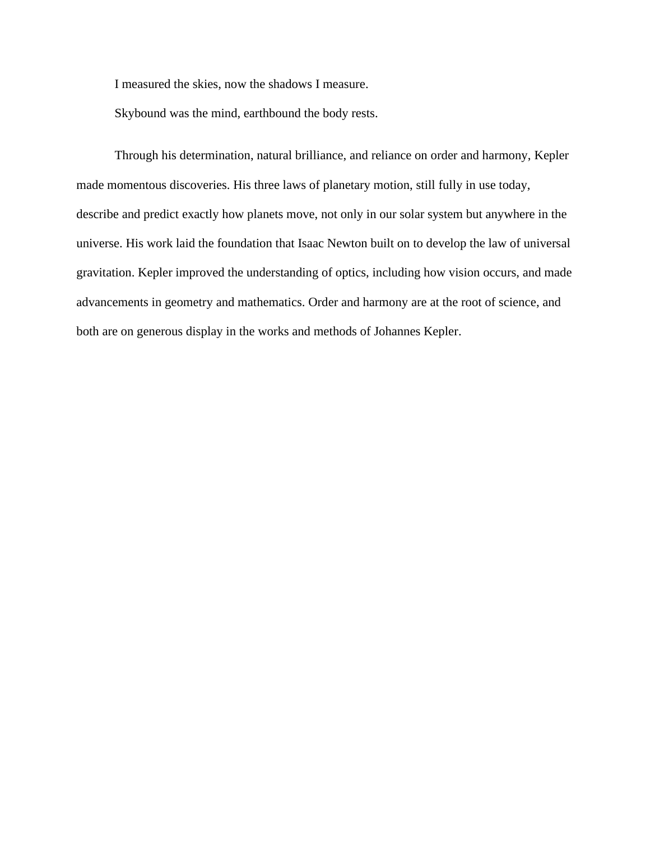I measured the skies, now the shadows I measure.

Skybound was the mind, earthbound the body rests.

Through his determination, natural brilliance, and reliance on order and harmony, Kepler made momentous discoveries. His three laws of planetary motion, still fully in use today, describe and predict exactly how planets move, not only in our solar system but anywhere in the universe. His work laid the foundation that Isaac Newton built on to develop the law of universal gravitation. Kepler improved the understanding of optics, including how vision occurs, and made advancements in geometry and mathematics. Order and harmony are at the root of science, and both are on generous display in the works and methods of Johannes Kepler.